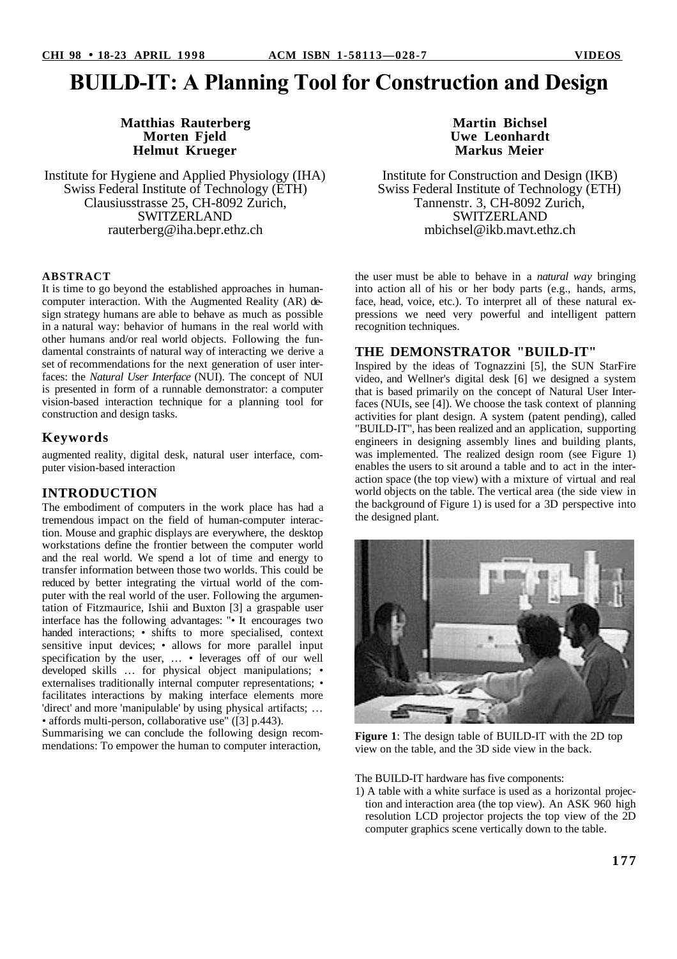# **BUILD-IT: A Planning Tool for Construction and Design**

## **Matthias Rauterberg Morten Fjeld Helmut Krueger**

Institute for Hygiene and Applied Physiology (IHA) Swiss Federal Institute of Technology (ETH) Clausiusstrasse 25, CH-8092 Zurich, SWITZERLAND rauterberg@iha.bepr.ethz.ch

#### **ABSTRACT**

It is time to go beyond the established approaches in humancomputer interaction. With the Augmented Reality (AR) design strategy humans are able to behave as much as possible in a natural way: behavior of humans in the real world with other humans and/or real world objects. Following the fundamental constraints of natural way of interacting we derive a set of recommendations for the next generation of user interfaces: the *Natural User Interface* (NUI). The concept of NUI is presented in form of a runnable demonstrator: a computer vision-based interaction technique for a planning tool for construction and design tasks.

#### **Keywords**

augmented reality, digital desk, natural user interface, computer vision-based interaction

## **INTRODUCTION**

The embodiment of computers in the work place has had a tremendous impact on the field of human-computer interaction. Mouse and graphic displays are everywhere, the desktop workstations define the frontier between the computer world and the real world. We spend a lot of time and energy to transfer information between those two worlds. This could be reduced by better integrating the virtual world of the computer with the real world of the user. Following the argumentation of Fitzmaurice, Ishii and Buxton [3] a graspable user interface has the following advantages: "• It encourages two handed interactions; • shifts to more specialised, context sensitive input devices; • allows for more parallel input specification by the user, ... • leverages off of our well developed skills … for physical object manipulations; • externalises traditionally internal computer representations; • facilitates interactions by making interface elements more 'direct' and more 'manipulable' by using physical artifacts; … • affords multi-person, collaborative use" ([3] p.443).

Summarising we can conclude the following design recommendations: To empower the human to computer interaction,



Institute for Construction and Design (IKB) Swiss Federal Institute of Technology (ETH) Tannenstr. 3, CH-8092 Zurich, SWITZERLAND mbichsel@ikb.mavt.ethz.ch

the user must be able to behave in a *natural way* bringing into action all of his or her body parts (e.g., hands, arms, face, head, voice, etc.). To interpret all of these natural expressions we need very powerful and intelligent pattern recognition techniques.

#### **THE DEMONSTRATOR "BUILD-IT"**

Inspired by the ideas of Tognazzini [5], the SUN StarFire video, and Wellner's digital desk [6] we designed a system that is based primarily on the concept of Natural User Interfaces (NUIs, see [4]). We choose the task context of planning activities for plant design. A system (patent pending), called "BUILD-IT", has been realized and an application, supporting engineers in designing assembly lines and building plants, was implemented. The realized design room (see Figure 1) enables the users to sit around a table and to act in the interaction space (the top view) with a mixture of virtual and real world objects on the table. The vertical area (the side view in the background of Figure 1) is used for a 3D perspective into the designed plant.



**Figure 1**: The design table of BUILD-IT with the 2D top view on the table, and the 3D side view in the back.

The BUILD-IT hardware has five components:

1) A table with a white surface is used as a horizontal projection and interaction area (the top view). An ASK 960 high resolution LCD projector projects the top view of the 2D computer graphics scene vertically down to the table.